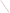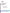# **Environmental Technology Verification Program** Advanced Monitoring Systems Center

Test/Quality Assurance Plan for Verification of Microcystin Test Kits

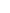## **TEST/QUALITY ASSURANCE PLAN**

**for**

**Verification of Microcystin Test Kits**

**July 6, 2010**

**Prepared by**

**Ryan James Anne Gregg Amy Dindal Battelle 505 King Avenue Columbus, OH 43201-2693**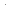Microcystin Test Kits Test/QA Plan Page 3 of 46 Version 1.0 Date: 7/6/10

## **SECTION A**

## **PROJECT MANAGEMENT**

## <span id="page-3-1"></span><span id="page-3-0"></span>**A1 VENDOR APPROVAL PAGE**

ETV Advanced Monitoring Systems Center

Test/Quality Assurance Plan for Verification of Microcystin Test Kits

## APPROVAL:

Name \_\_\_\_\_\_\_\_\_\_\_\_\_\_\_\_\_\_\_\_\_\_\_\_\_\_\_\_\_\_\_\_\_\_

Company \_\_\_\_\_\_\_\_\_\_\_\_\_\_\_\_\_\_\_\_\_\_\_\_\_\_\_\_\_\_\_

Date \_\_\_\_\_\_\_\_\_\_\_\_\_\_\_\_\_\_\_\_\_\_\_\_\_\_\_\_\_\_\_\_\_\_\_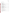#### <span id="page-4-0"></span> $A2$ **TABLE OF CONTENTS**

| Section                          |  |  |
|----------------------------------|--|--|
|                                  |  |  |
| A <sub>1</sub>                   |  |  |
| A <sub>2</sub>                   |  |  |
| A <sub>3</sub>                   |  |  |
| A4                               |  |  |
| A <sub>5</sub>                   |  |  |
| A6                               |  |  |
| A7                               |  |  |
| A8                               |  |  |
| A <sup>9</sup>                   |  |  |
| A10                              |  |  |
|                                  |  |  |
| B1                               |  |  |
| B <sub>2</sub>                   |  |  |
| B <sub>3</sub>                   |  |  |
| <b>B4</b>                        |  |  |
| B <sub>5</sub>                   |  |  |
| <b>B6</b>                        |  |  |
| B7                               |  |  |
| B <sub>8</sub>                   |  |  |
| <b>B</b> 9                       |  |  |
| <b>B10</b>                       |  |  |
|                                  |  |  |
|                                  |  |  |
| C <sub>1</sub><br>C <sub>2</sub> |  |  |
|                                  |  |  |
|                                  |  |  |
| D <sub>1</sub>                   |  |  |
| D2                               |  |  |
| D <sub>3</sub>                   |  |  |
|                                  |  |  |
| E1                               |  |  |
|                                  |  |  |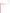|                                                                               | Microcystin Test Kits |
|-------------------------------------------------------------------------------|-----------------------|
|                                                                               | Test/QA Plan          |
|                                                                               | Page 5 of 46          |
|                                                                               | Version 1.0           |
|                                                                               | Date: 7/6/10          |
| List of Figures                                                               | Page                  |
|                                                                               |                       |
|                                                                               |                       |
| List of Tables                                                                |                       |
|                                                                               |                       |
|                                                                               |                       |
| Table 3. DQIs and Criteria for Critical Measurements for Reference Methods 21 |                       |
|                                                                               |                       |
|                                                                               |                       |
|                                                                               |                       |
|                                                                               |                       |

[Table 7. Microcystin Reference Method Information](#page-34-1) ................................................................. 34

Appendix A: Ease of Use Questionnaire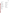Microcystin Test Kits Test/QA Plan Page 6 of 46 Version 1.0 Date: 7/6/10

#### <span id="page-6-0"></span>**A3 DISTRIBUTION LIST**

**Vendors**

Fernando Rubio Abraxis 54 Steamwhistle Drive Warminster, PA 18974

Art Trombley Beacon Analytical Systems, Inc. 383 Presumpscot Street Portland, Maine 04103

Elena Domínguez ZEU-INMUNOTEC, S.L. C/ Bari 25 dpdo. Polígono PLAZA. 50197- Zaragoza- SPAIN

## **EPA**

John McKernan Michelle Henderson U.S. Environmental Protection Agency 26 West Martin Luther King Drive Mail code: 208 Cincinnati OH 45268

#### **Battelle**

Ryan James Anne Gregg Amy Dindal Zachary Willenberg Battelle 505 King Ave. Columbus, OH 43201

#### **Verification Test Stakeholders**

David Schumacher Nebraska Department of Environmental **Quality** 1200 "N" Street, Suite 400 P.O. Box 98922 Lincoln, Nebraska 68509

Robert Waters Suffolk County Department of Health Services 360 Yaphank Avenue Suite 2 B Yaphank, NY 119

Andrew Lincoff US EPA Region 9 Lab 1337 S. 46th St., Bldg. 201 Richmond, CA 94804

#### **Subcontractor**

Daniel Snow Water Center 202 Water Sciences Laboratory University of Nebraska Lincoln, NE 68583-0844 USA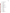Microcystin Test Kits Test/QA Plan Page 7 of 46 Version 1.0 Date: 7/6/10

## <span id="page-7-0"></span>**A4 LIST OF ACRONYMS AND ABBREVIATIONS**

| <b>AMS</b>   | <b>Advanced Monitory Systems</b>                    |
|--------------|-----------------------------------------------------|
| <b>ASTM</b>  | American Society for Testing and Materials          |
| COC          | chain of custody                                    |
| CAS          | <b>Chemical Abstract Service</b>                    |
| <b>CCV</b>   | continuing calibration verification                 |
| <b>CR</b>    | cross reactivity                                    |
| <b>DQI</b>   | data quality indicator                              |
| <b>DQO</b>   | data quality objective                              |
| DI           | deionized                                           |
| DL           | detection limit                                     |
| <b>EPA</b>   | <b>Environmental Protection Agency</b>              |
| <b>ETV</b>   | Environmental Technology Verification               |
| <b>ELISA</b> | Enzyme-Linked Immunosorbent Assay                   |
| IDL          | instrument detection limit                          |
| <b>LFM</b>   | laboratory fortified matrix                         |
| <b>LRB</b>   | laboratory record book                              |
| LC-MS-MS     | liquid chromatography tandem mass spectrometry      |
| <b>MB</b>    | method blank                                        |
| <b>MDL</b>   | method detection limit                              |
| <b>MRM</b>   | multiple reaction monitoring                        |
| <b>NIST</b>  | National Institute of Standards and Technology      |
| <b>NRC</b>   | National Research Council                           |
| <b>NDEQ</b>  | Nebraska Department of Environmental Quality        |
| ppb          | parts per billion                                   |
| $\%D$        | percent different                                   |
| <b>PEA</b>   | performance evaluation audit                        |
| <b>PT</b>    | performance test                                    |
| PO           | project officer                                     |
| QA           | quality assurance                                   |
| <b>OAM</b>   | quality assurance manger                            |
| QAO          | quality assurance officer                           |
| QC           | quality control                                     |
| QMP          | quality management plan                             |
| <b>RMO</b>   | records management office                           |
| <b>RW</b>    | recreational water                                  |
| <b>RPD</b>   | relative percent different                          |
| <b>RSD</b>   | relative standard deviation                         |
| <b>SOP</b>   | standard operating procedure                        |
| <b>SCDHS</b> | <b>Suffolk County Department of Health Services</b> |
| <b>TSA</b>   | technical systems audit                             |
| <b>WSL</b>   | <b>Water Sciences Laboratory</b>                    |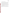#### <span id="page-8-0"></span>**A5 VERIFICATION TEST ORGANIZATION**

The verification test will be conducted under the U.S. Environmental Protection Agency (EPA) Environmental Technology Verification (ETV) Program. It will be performed by Battelle, which is managing the ETV Advanced Monitoring Systems (AMS) Center through a cooperative agreement with EPA. The scope of the AMS Center covers verification of monitoring technologies for contaminants and natural species in air, water, and soil.

The day to day operations of this verification test will be coordinated and performed by Battelle, with the participation of vendors who will have the performance of their technologies verified. Testing will be conducted by Battelle staff at the Battelle laboratories in Columbus, Ohio. Each vendor will provide Battelle with their respective technologies and will train the verification staff in their technologies use.

Quality Assurance (QA) oversight will be provided by the Battelle Quality Assurance Manager (QAM) and also by the EPA AMS Center Quality Manager (EPA QM), at her discretion. The organization chart in Figure 1 identifies the responsibilities of the organizations and individuals associated with the verification test. Roles and responsibilities are defined further below.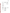<span id="page-9-0"></span>

**Figure 1. Organization Chart for the Verification Test**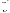#### **A5.1 Battelle**

Dr. Ryan James is the AMS Center's Verification Test Coordinator for this test. In this role, Dr. James will have overall responsibility for ensuring that the technical, schedule, and cost goals established for the verification test are met. Specifically, Dr. James will:

- Prepare the draft test/QA plan, verification reports, and verification statements.
- Establish a budget for the verification test and manage staff to ensure the budget is not exceeded.
- Revise the draft test/QA plan, verification reports, and verification statements in response to reviewer comments.
- Assemble a qualified technical staff to conduct the verification test.
- Direct the staff in performing the verification test in accordance with this test/QA plan.
- Hold a kick-off meeting approximately one week prior to the start of the verification test to review the critical logistical, technical, and administrative aspects of the verification test. Responsibility for each aspect of the verification test will be confirmed.
- Ensure that all quality procedures specified in this EPA Quality Level III test/QA plan and in the AMS Center Quality Management  $Plan<sup>1</sup> (OMP)$  are followed.
- Serve as the primary point of contact for vendor representatives.
- Ensure that confidentiality of sensitive vendor information is maintained.
- Assist vendors as needed during verification testing.
- Become familiar with the operation and maintenance of the technologies through instruction by the vendors.
- Respond to any issues raised in assessment reports, audits, or from verification staff observations, and institute corrective action as necessary.
- Coordinate distribution of the final test/QA plan, verification reports, and verification statements.

Ms. Amy Dindal is Battelle's Manager for the AMS Center. As such, Ms. Dindal will oversee the various stages of verification testing. Ms. Dindal will: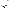- Review the draft and final test/QA plan.
- Review the draft and final verification reports and verification statements.
- Ensure that necessary Battelle resources, including staff and facilities, are committed to the verification test.
- Ensure that confidentiality of sensitive vendor information is maintained.
- Support Dr. James in responding to any issues raised in assessment reports and audits.
- Maintain communication with EPA's technical and quality managers.
- Issue a stop work order if Battelle or EPA QA staff discovers adverse findings that will compromise test results.

Battelle Technical Staff will support Dr. James in planning and conducting the verification test. The responsibilities of the technical staff will be to:

- Assist in planning for the test, and making arrangements for the receipt of and training on the technologies.
- Attend the verification test kick-off meeting.
- Assist vendor staff as needed during test kit receipt and training.
- Coordinate and conduct verification testing using each participating technology, following all aspects of the ETV AMS Center  $QMP<sup>1</sup>$  as well as the test/ $QA$  plan for this verification.
- Support Dr. James in the preparation of the test/OA plan and reports, as necessary.
- Support Dr. James in responding to any issues raised in assessment reports and audits related to statistics and data reduction as needed.

Ms. Rosanna Buhl is Battelle's Quality Assurance Manager (QAM) for the AMS Center. Ms. Buhl will:

- Review the draft and final test/QA plan.
- Assign a Quality Assurance Officer (QAO) for each verification test.
- Delegate to other Battelle quality staff any QAO responsibilities assigned below as needed to meet project schedules.
- Review any audit checklists prepared by the QAO for completeness and detail.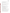- Review draft audit reports prior to release to the Verification Test Coordinator and/or EPA for clarity and appropriate assessment of findings.
- Review audit responses for appropriateness.
- Review and approve test/QA plans, test/QA plan amendments, deviations and audit reports.
- Maintain real-time communication with the QAO on QA activities, audit results, and concerns.
- Work with the QAO, Verification Test Coordinator, and Battelle's AMS Center Manager to resolve data quality concerns and disputes.
- Recommend a stop work order if audits indicate that data quality or safety is being compromised.

Mr. Zachary Willenberg is Battelle's QAO for this test. Mr. Willenberg will:

- Attend the verification test kick-off meeting and lead the discussion of the QA elements of the kickoff meeting checklist.
- Prior to the start of verification testing, verify the presence of applicable training records, including any vendor training on test equipment.
- Conduct a technical systems audit at least once during the verification test.
- Conduct audits to verification data quality.
- Prepare and distribute an audit report for each audit.
- Verify that audit responses for each audit finding and observation are appropriate and that corrective action has been implemented effectively.
- Communicate to the Verification Test Coordinator and/or technical staff the need for immediate corrective action if an audit identifies test/QA plan deviations or practices that threaten data quality.
- Provide a summary of the QA/QC activities and results for the verification reports.
- Review the draft and final verification report(s) and verification statement(s).
- Maintain real-time communication with the Battelle QAM on QA activities, audit results, and concerns, including potential schedule and budget problems.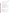• Communicate data quality concerns to the Verification Test Coordinator and/or Battelle's AMS Center QAM and Manager; recommend the need for a stop work order if audits indicate that data quality or safety is being compromised.

## **A5.2 Technology Vendors**

The responsibilities of the technology vendors are as follows:

- Review and provide comments on the draft test/QA plan.
- Accept (by signature of a company representative) the final test/QA plan prior to test initiation.
- Provide their technology for evaluation during the verification test.
- Provide all other equipment/supplies/reagents/consumables needed to operate their technology for the duration of the verification test.
- Supply training on the use of the technology, and provide written consent and instructions for verification staff to carry out testing, including written instructions for routine operation of their technology.
- Provide maintenance and repair support for their technology, on-site if necessary, throughout the duration of the verification test.
- Review and provide comments on the draft verification report and statement for their respective technology.

## **A5.3 EPA**

EPA's responsibilities in the AMS Center are based on the requirements stated in the "Environmental Technology Verification Program Quality Management Plan" (ETV QMP)<sup>2</sup>. The roles of specific EPA staff are as follows:

Ms. Michelle Henderson is EPA's AMS Center Quality Manager (EPA QM). For the verification test, Ms. Henderson will:

- Review the draft test/QA plan.
- Perform at her option one external technical systems audit during the verification test.
- Notify the EPA AMS Center Project Officer of the need for a stop work order if the external audit indicates that data quality is being compromised.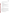- Prepare and distribute an assessment report summarizing results of the external audit.
- Review draft verification reports and verification statements.

Dr. John McKernan is EPA's Project Officer (EPA PO) for the AMS Center. Dr. McKernan, or designee will:

- Review the draft test/QA plan.
- Approve the final test/QA plan.
- Be available during the verification test to authorize any test/QA plan deviations by phone and provide the name of a delegate to the Battelle AMS Center Manager should he not be available during the testing period.
- Review the draft verification reports and verification statements.
- Oversee the EPA review process for the test/QA plan, verification reports, and verification statements.
- Coordinate the submission of verification reports and verification statements for final EPA approval.
- Post the test/QA plan, verification reports, and verification statements on the ETV web site.

## **A5.4 Verification Test Stakeholders**

This verification test will be conducted in collaboration with David Schumacher and his technical staff at the Nebraska Department of Environmental Quality (NDEQ). They have provided recreational water (RW) samples for verification testing. In addition, the Suffolk County Department of Health Services (SCDHS) is collaborating on this verification test by providing RW samples.

This test/QA plan and the verification report(s) and verification statement(s) based on testing described in this document will be reviewed by experts in the fields related to microcystin determination in water. The following experts have been providing input to this test/QA plan and have agreed to provide a peer review:

- Robert Waters, Suffolk County Department of Health
- Andrew Lincoff, US EPA Region 9 Laboratories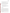The activities responsibilities of verification test stakeholders and/or peer reviewers include:

- Participate in stakeholder discussions to provide input to the test design.
- Review and provide input to the test/QA plan
- Review and provide input to the verification report(s)/verification statement(s).

The AMS Center Water Stakeholder Committee has considered the technology category of microcystin immunoassay kits a priority area since 2005. The Battelle Verification Test Coordinator presented the fundamentals of the test design in a stakeholder committee teleconference in November 2009 to gather input from the stakeholders on the approach.

#### **A5.5 University of Nebraska Water Sciences Laboratory (WSL)**

Mr. Daniel Snow and his technical staff at the WSL will:

• Perform the reference analyses by solid phase extraction liquid chromatography tandem mass spectrometry (LC-MS-MS). This will include all necessary QC requirements, such as performance evaluation audit (PEA) samples to confirm the accuracy of the reference method prior to testing.

#### <span id="page-15-0"></span>**A6 BACKGROUND**

#### **A6.1 Technology Need**

The ETV Program's AMS Center conducts third-party performance testing of commercially available technologies that detect or monitor natural species or contaminants in air, water, and soil. The purpose of ETV is to provide objective and quality assured performance data on environmental technologies, so that users, developers, regulators, and consultants can make informed decisions about purchasing and applying these technologies. The ETV Water Stakeholder Committee, made up of buyers and users of such technologies recommend technology categories, and technologies within those categories, as priorities for testing. Among the technology categories recommended for testing are microcystin test kits. In particular, the use of microcystin test kits for the monitoring of recreational waters was identified as an area of interest for technology verification.

Microcystins are compounds (nonribosomal peptides) produced by cyanobacteria, also known as blue-green algae, which may pose a significant threat to human and animal health.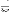Exposure to microcystin could result in skin rashes, eye irritations, respiratory symptoms, and liver damage<sup>3</sup>. While alive, the toxins are contained inside the bacterial cell; however, when these cells become damaged or die (lysis), the toxins are released into the water. There are approximately 80 structural variants<sup>3</sup> (also called congeners) of microcystin that have been identified as highly toxic. The most common and most extensively studied variant is microcystin-LR. The World Health Organization (WHO) has set a provisional drinking-water guideline value of 1 microgram/liter ( $\mu$ g/L) for microcystin-LR<sup>4</sup>. For recreational use, the WHO Guideline for Safe Recreational Water Environments is 20 μg/L, 20 times the drinking water guideline concentration for microcystin-LR<sup>4</sup>. In addition to microcystin-LR, microcystin-LA and –RR will also be used to test the performance of the microcystin test kits. Microcystin–LA is highly toxic and microcystin-RR is more prevalent in the environment but not as toxic<sup>3</sup>. Table 1 shows the microcystin variants and their respective amino acid identifiers to be analyzed by the test kits.

## <span id="page-16-0"></span>**Table 1. Microcystin Variants<sup>3</sup>**

| Name           | <b>Variable Amino Acids</b> |                | <b>Molecular Weight</b> |
|----------------|-----------------------------|----------------|-------------------------|
| Microcystin-LR | Leucine $(L)$               | Arginine $(R)$ | 995.17                  |
| Microcystin-LA | Leucine $(L)$               | Alanine $(A)$  | 910.06                  |
| Microcystin-RR | Arginine $(R)$              | Arginine $(R)$ | 1038.2                  |

#### **A6.2 Technology Description**

Microcystin test kits are used to quantitatively measure total microcystin in recreational waters. These test kits are based on enzyme-linked immunosorbent assays (ELISA) with antibodies that bind specifically to microcystins or phosphate activity inhibition where the phosphatase hydrolyzes to determine the total toxicity of microcystin present in the sample. The kits report total microcystin or total toxicity in a water sample and therefore do not differentiate between the different variants of microcystin. Microcystin concentrations are indicated by a color measurement that is inversely proportional to the concentration of the total microcystins in the sample, that is, the color disappears if microcystin is present. The color change of the test kits is calibrated against microcystin-LR standards provided with the test kits. Variants bind differently to the immunosorbent resulting in different cross reactivity (CR) for the variants. The CR for specific variants are determined by the vendor and reported in the instructions manual. Kits are available in multiple formats, including 96-well microplates, tube assays, and test strips.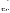The 96-well microplates provide quantitative results when they are used in conjunction with a spectrophotometric plate reader set at 450 nanometers for the ELISA kits and 405 nanometers for the toxicity test kit. The tube assays can also provide quantitative results when used with a single-cell spectrophotometer. Both of those types of kits may also provide semi-quantitative results, using visual comparison of the color change. The photometer data are then reduced either by manual calculations or by a data reduction program. The test strip kits are semiquantitative, indicating distinct colors for specified ranges of microcystin concentrations.

#### <span id="page-17-0"></span>**A7 VERIFICATION TEST DESCRIPTION AND SCHEDULE**

This verification test will assess the performance of the test kits relative to key verification parameters including accuracy, precision, and method detection limit. Correct preparation of test solutions will be confirmed through a comparison to reference method results. In performing the verification test, Battelle will follow the technical and QA procedures specified in this test/QA plan and will comply with the data quality requirements in the AMS Center  $QMP<sup>1</sup>$ .

#### **A.7.1 Verification Test Description**

The objective of this verification test is to evaluate the microcystin test kit performance against known concentrations of microcystin in DI water, as well as against natural recreational water samples. The test will be performed in collaboration with the NDEQ and the SCDHS. Technologies undergoing verification will be used to analyze a variety of water samples for the variants: microcystin-LR, microcystin-LA, and microcystin-RR. The quantitative results from the microcystin test kits will be compared to the results from the reference method by calculating percent differences between the results. The kits provide a quantitative or semi-quantitative determination of microcystin and will be evaluated in terms of:

- Accuracy comparison of test kit results (samples prepared in ASTM Type II) deionized water (DI) as well as RW samples) to results from a reference method
- Precision repeatability of test kit results from three sample replicates analyzed in DI water and recreational waters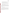- Linearity determination of whether or not the test kit response increases in direct proportion to the known concentration of microcystin
- Method detection limit the lowest quantity of toxin that can be distinguished from the absence of that toxin (a *blank value*) at a 99% confidence level
- Inter-kit lot reproducibility determination of whether or not the test kit response is significantly different between two different lots of calibration standards within the kits.
- Matrix Interference evaluation of the effect of natural recreational matrices and chlorophyll-*a* on the results of the test kits.
- Operational factors general operation, data acquisition, set-up, consumables, etc. Subsequent to the verification test, verification reports describing the test will be drafted. These reports will be reviewed by the vendor and by peer reviewers, revised, and submitted to EPA for final approval. In performing the verification test, Battelle will follow the technical and QA procedures specified in this test/QA plan and will comply with the data quality requirements in the AMS Center  $QMP<sup>1</sup>$

#### **A.7.2 Proposed Verification Test Schedule**

Table 2 shows the proposed schedule of testing, auditing, and data analysis/reporting activities to be conducted during this verification. The performance evaluation audit (PEA) will take place before testing begins. The verification of microcystin test kits is planned to be completed over the course of a week after the PEA data are received. The verification test is expected to be conducted in July 2010. The technical systems audit (TSA) will take place during testing and the audit of data quality (ADQ) will take place after the data are reviewed by the Verification Test Coordinator, or designee.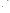Microcystin Test Kits Test/QA Plan Page 19 of 46 Version 1.0 Date: 7/6/10

| <b>Approximate Date(s)</b><br><b>Testing Activities</b> |                                                                                       | <b>Data Analysis and Reporting</b>                                                                                                                                                               |
|---------------------------------------------------------|---------------------------------------------------------------------------------------|--------------------------------------------------------------------------------------------------------------------------------------------------------------------------------------------------|
| July-August 2009                                        | Recreational water sampling in<br>Nebraska and New York                               | Not applicable                                                                                                                                                                                   |
| February-July 2010                                      | Test/QA plan design and approval                                                      | Not applicable                                                                                                                                                                                   |
| June- July 2010                                         | Perform Performance Evaluation Audit                                                  | Compile PEA reference method results                                                                                                                                                             |
| <b>July 2010</b>                                        | Verification testing<br>Perform Technical Systems Audit<br>Reference analysis         | Prepare report template<br>Compile data from test kits<br>Review and summarize testing staff<br>observations<br>Compile reference method results<br>Begin draft reports<br>Perform data analysis |
| July-August 2010                                        | Perform Audit of Data Quality<br>Prepare draft verification reports and<br>statements | Complete draft verification reports and<br>statements                                                                                                                                            |
| August-September 2010                                   | Coordinate reviews of draft verification<br>reports and statements                    | Complete peer review and vendor review<br>of draft reports                                                                                                                                       |
| September 2010                                          | Prepare final verification reports and<br>statements                                  | Revise draft verification reports and<br>statements<br>Submit final reports for EPA approval                                                                                                     |

<span id="page-19-0"></span>

#### **A7.3 Test Facility**

This verification test will take place in Columbus, Ohio at the Battelle laboratories. Recreational water samples were collected from nine local lakes in Nebraska by the NDEQ or in New York by the SCDHS. All samples were collected and frozen prior to testing in at least 120 milliliter volumes.

#### **A7.4 Health and Safety**

Battelle will conduct all verification testing following the safety and health protocols in place for the Battelle laboratory and facilities. This includes maintaining a safe work environment and a current awareness of handling potentially toxic chemicals. Exposure to potentially toxic chemicals will be minimized, personal protective equipment will be worn, and safe laboratory practices will be followed.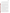#### <span id="page-20-0"></span>**A8 QUALITY OBJECTIVES AND CRITERIA FOR MEASUREMENT DATA**

In performing the verification test, Battelle will follow the technical and QA procedures specified in this test/QA plan and will comply with the data quality requirements in the AMS Center QMP.<sup>1</sup> QA level III, Applied Research has been specified for this test by the EPA Project Officer.

To ensure that this verification test provides suitable data for a robust evaluation of performance, a variety of data quality objectives (DQOs) have been established for this test. The DQOs indicate the minimum quality of data required to meet the objectives of the verification test. The DQOs for this verification test were established to assess the performance of the microcystin test kits relative to reference measurements. In order to provide a suitable benchmark for comparison, the reference measurements must meet the DQOs. The DQOs for this verification test include specific objectives for reference method measurements and data completeness. The DQOs are quantitatively defined in Table 3 in terms of specific data quality indicators (DQIs) and their acceptance criteria.

The quality of the reference method measurements will be assured by adherence to these DQI criteria and the requirements of the reference methods, including the calibration and QA/QC requirements of the method. Blank samples will be required to generate results below the detection limit and the Laboratory Fortified Matrix (LFM) sample and PEA sample results will be required to be within 30% of the expected results. Prior to testing, Battelle's QAO will contact the reference laboratory and request submission of that laboratory's QA plan and associated records. In addition, Battelle will visit the reference laboratory and audit the QA document associated with the samples analyzed during this ETV test. More details about the QC requirements for the reference method are given in Section B5.

PEA samples will be used to independently confirm the accuracy of the reference measurements. Before testing begins, standards will be diluted to a concentration within the measureable range of the reference method and sent to the reference laboratory for analysis. Currently, National Institute of Standards and Technology (NIST) traceable certified microcystin standards are not available on the market. However, the Canadian National Research Council (NRC), Institute for Marine Biosciences is in the process of certifying microcystin-LR and –RR. These standards will be obtained and diluted for the PEA. In addition, standards of microcystin-LR, RR, and –LA will also be obtained from Abraxis and sent for reference analysis.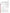Microcystin Test Kits Test/QA Plan Page 21 of 46 Version 1.0 Date: 7/6/10

| <b>DQI</b>                                      | <b>Method of</b><br><b>Assessment</b>        | Frequency                     | Acceptance<br>Criteria                                   | <b>Corrective Action</b>                                                                                                                                                       |
|-------------------------------------------------|----------------------------------------------|-------------------------------|----------------------------------------------------------|--------------------------------------------------------------------------------------------------------------------------------------------------------------------------------|
| Performance<br><b>Evaluation Audit</b><br>(PEA) | PEA Samples                                  | Once before<br>testing begins | $70\% - 130\%$<br>recovery of<br>target analytes         | Review data to troubleshoot<br>results and adjust reference<br>method as necessary, reanalyze<br>samples.                                                                      |
| Method<br>contamination<br>check                | Method Blank (MB)                            | Once every 20<br>samples      | Target analytes<br>$<$ lowest<br>calibration<br>standard | Review data and analysis for<br>possible sources of<br>contamination. Reanalyze<br>and/or document corrective<br>action.                                                       |
| Method<br>Calibration<br>Check                  | Continuing Calibration<br>Verification (CCV) | Once every 10<br>samples      | $80\% - 120\%$<br>recovery of<br>target analytes         | Review data to troubleshoot<br>results and adjust reference<br>method as necessary, reanalyze<br>samples.                                                                      |
| Method precision                                | <b>Laboratory Duplicates</b>                 | Once every 20<br>samples      | Target analytes<br>$< 30\%$<br>Difference                | Review data to assess impact of<br>matrix. If other QC data are<br>acceptable, then reprocess<br>duplicate. If not possible, then<br>flag associated reference<br>method data. |
| Method accuracy                                 | Laboratory Fortified<br>Matrix (LFM) Spikes  | Once every 20<br>samples      | $70\% - 130\%$<br>recovery of<br>target analytes         | Review data to assess impact of<br>matrix. If other QC data are<br>acceptable, then reprocess<br>duplicate. If not possible, then<br>flag associated reference<br>method data. |

#### <span id="page-21-1"></span>**Table 3. DQIs and Criteria for Critical Measurements for Reference Methods.**

The Battelle QAO or his designee will perform a TSA at least once during this verification test to augment these QA/QC requirements. The EPA QM also may conduct an independent TSA, at her discretion.

#### <span id="page-21-0"></span>**A9 SPECIAL TRAINING/CERTIFICATION**

Documentation of training related to technology testing, data analysis, and reporting is maintained for all Battelle technical staff in training files at their respective Battelle location. The Battelle QAO will verify the presence of appropriate training records prior to the start of testing. The vendors will be required to train the Battelle technical staff prior to the start of testing. Battelle will document this training with a consent form, signed by the vendor, which states which Battelle technical staff have been trained to use their test kits and can train other staff. In the event that other staff members are required to use the test kits, they will be trained by the operators that were trained by the vendors. All technical staff will have a minimum of a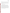bachelor's degree in science/engineering or equivalent work experience (e.g., experience using ELISA test kits).

Battelle will conduct all verification testing following the safety and health protocols in place at the verification testing facilities. This includes maintaining a safe work environment and a current awareness of handling potentially toxic chemicals. Exposure to potentially toxic chemicals will be minimized, personal protective equipment will be worn, and safe laboratory practices will be followed.

#### <span id="page-22-0"></span>**A10 DOCUMENTATION AND RECORDS**

The documents and records for this verification test will include the test/QA plan, laboratory record books (LRB), data collection forms, electronic files (both raw data and spreadsheets), and the final verification report. Table 4 summarizes the types of data to be recorded. Documentation of Battelle staff training by vendors and copies of other project specific training will also be included in the project files. All of these records will be maintained in the Verification Test Coordinator's office during the test and will be transferred to permanent storage at Battelle's Records Management Office (RMO) at the conclusion of the verification test. All Battelle LRBs are stored indefinitely with the project files, either by the Verification Test Coordinator or Battelle's RMO. The raw and final results from the reference measurements will be submitted to Battelle upon obtaining the results of the analyses. Section B10 further details the data recording practices and responsibilities.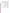Microcystin Test Kits Test/QA Plan Page 23 of 46 Version 1.0 Date: 7/6/10

| Data to Be<br><b>Recorded</b>                                            | <b>Responsible</b><br>Party | Where<br><b>Recorded</b>                                                                                                              | <b>How often</b><br>recorded                                                                  | <b>Disposition of</b><br>Data $^{(a)}$                                                                                                       |
|--------------------------------------------------------------------------|-----------------------------|---------------------------------------------------------------------------------------------------------------------------------------|-----------------------------------------------------------------------------------------------|----------------------------------------------------------------------------------------------------------------------------------------------|
| Dates, times of test<br>events                                           | <b>Battelle</b>             | Laboratory record<br>books or data<br>collection sheets                                                                               | Start/end of test, and<br>at each change of a<br>test parameter.                              | Used to organize/check<br>test results; manually<br>incorporated in data<br>spreadsheets as<br>necessary.                                    |
| Test parameters                                                          | <b>Battelle</b>             | Laboratory record<br>books or data<br>collection sheets                                                                               | When set or changed,<br>or as needed to<br>document test<br>notable details during<br>testing | Used to organize/check<br>test results; manually<br>incorporated in data<br>spreadsheets as<br>necessary.                                    |
| Field sampling data                                                      | NDEQ or SCDHS               | Laboratory record<br>books or data<br>collection sheets                                                                               | During each<br>sampling event                                                                 | Used to characterize<br>the recreational water<br>sample.                                                                                    |
| PEA sample records                                                       | Battelle and WSL            | Laboratory record<br>books or data<br>collection sheets                                                                               | During sample<br>preparation and<br>analysis                                                  | Used to verify the<br>performance of the<br>reference method                                                                                 |
| Reference sample<br>data                                                 | <b>Battelle</b>             | Laboratory record<br>books or data<br>collection sheets                                                                               | When test samples<br>are aliquoted for the<br>reference analysis                              | Used to organize/check<br>test results; manually<br>incorporated in data<br>spreadsheets as<br>necessary.                                    |
| Reference method<br>sample analysis,<br>chain of custody, and<br>results | Battelle and WSL            | Laboratory record<br>books, chain of<br>custody forms,<br>data collection<br>sheets, or data<br>acquisition system,<br>as appropriate | Throughout sample<br>handling and analysis<br>process                                         | Transferred to<br>spreadsheets/agreed<br>upon report; project<br>files. Retained for<br>documentation of<br>reference method<br>performance. |

#### <span id="page-23-0"></span>**Table 4. Summary of Data Recording Process**

(a) All activities subsequent to data recording are carried out by Battelle.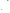## **SECTION B MEASUREMENT AND DATA ACQUISITION**

#### <span id="page-24-1"></span><span id="page-24-0"></span>**B1 EXPERIMENTAL DESIGN**

Technologies undergoing verification will be used to analyze a variety of water samples for the variants: microcystin-LR, microcystin-LA, and microcystin-RR. Where appropriate, the quantitative results from the microcystin test kits will be compared to the results from the reference method by calculating percent differences between the results. The kits provide a quantitative or semi-quantitative determination of microcystin and will be evaluated in terms of:

- accuracy
- precision
- linearity
- method detection limit
- inter-kit lot reproducibility
- matrix effects, and
- operational factors.

Each microcystin test kit will be operated according to the vendor's instructions. This includes kit provided calibration standards and positive and negative controls. The samples will also be tested according to the kit instructions, i.e. samples and calibration standards analyzed in duplicate and the frequency of positive and negative controls. Table 5 presents the test samples to be analyzed during this verification test.

#### **B1.1 Testing Procedures**

The ability of each microcystin test kit to determine the concentration of microcystin will be challenged using quality control (QC) samples, performance test (PT) samples and recreational water (RW) samples. These sample results will also be compared to reference method results. QC samples will include laboratory reagent blanks (RB). RB samples will be prepared from DI water and will be exposed to identical handling and analysis procedures as other prepared samples, including the addition of all reagents. These samples will be used to help ensure that no sources of contamination are introduced in the sample handling and analysis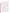procedures. At least 10% of all the prepared samples to be analyzed will be RBs. Other QC samples, positive and negative controls, are included in this test from the test kit procedure.

PT samples will be used to help determine the accuracy, precision, linearity, method detection limit, and inter-kit lot reproducibility of the test kits. All PT samples will be prepared at Battelle using DI water as the water source. PT samples will be individually spiked with microcystin-LR, microcystin-LA, and microcystin-RR. Additionally, solutions will be prepared to assess the linearity over a concentration range and analyzed in triplicate. The concentration levels will be 0.1, 0.5, 1.0, 2.0, and 4.0 parts-per billion (ppb) to test the dynamic range of the test kits. These concentration levels will be used for microcystin-LR. Because of estimated CR of the –LA and -RR microcystin congeners, a 7.0 ppb concentration level will also be included to evaluate the dynamic range of the test kits for these two congeners. If applicable to the test kits that participate in the verification test (i.e., a semi-quantitative test strip), a 15 ppb PT sample will also be tested in order to test the semi-quantitative capability of indicating a concentration higher than 10 ppb. To determine the detection limit of the quantitative test kits, a solution with a concentration five times the vendor's reported detection limit (DL) will be used<sup>5</sup>. Seven replicate analyses of this solution will be made individually for each variant to obtain precision data with which to determine the method detection  $\text{limit}^5$ . The detection limits for the quantitative test kits being verified range from 0.1 to 0.3 ppb.

RW samples have been obtained from lakes in and around Lincoln, Nebraska and Suffolk County, New York to assess kit performance in recreational waters. The RW samples have been frozen and thawed three times to lyse the cyanobacteria followed by filtration. Then the sample will be split for verification testing and reference analysis. The procedure for collecting and preparing the samples for verification testing and reference analysis is described in Section B.2. The NDEQ staff are aware of the approximate microcystin level of the lakes from which the water samples that were collected. Using this information, the samples that will be used for testing will be selected from lakes that are expected to have both detectable and not-detectable microcystin concentrations. There will be at least nine RW samples used for this verification test. Some of the samples will have been samples from Nebraska and New York. Ideally, three of the RW samples will have microcystin concentration > 20 ppb, three RW samples will have concentrations > 10 ppb, and three RW samples will have non-detectable (ND) concentrations of microcystin. All RW samples will be tested in triplicate by the test kits.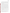The test kits with specific vendor recommended lysing procedures will analyze three additional RW samples in triplicate. These test samples will not undergo the three iterations of the freeze-thaw lysing procedure. They will be vigorously shaken but not mechanically homogenized. The cyanobacteria need to remain intact but also be evenly distributed to split the sample for testing and reference analysis. The reference sample aliquot for these three RW samples will be split before lysing of the samples and will follow the freeze-thaw lysing method and subsequent reference analysis.

In addition to a variety of RW samples, matrix interference samples will be tested using a RW sample that has a low level or below detection level of native microcystin concentration. This RW sample will be serial diluted by a factor of 10 with DI water to provide a less concentrated level of the RW matrix. Then, each matrix level will be fortified with 4 ppb or 2 ppb of microcystin-LR, -LA, or -RR. The spike level chosen will be within the kit detection range. The test kit results in each of the matrices will be compared in order to determine the impact of the matrix concentration on the test kit results. For example, if there is no matrix interference, the expectation would be that the test kit results would not change across the matrix dilutions. In addition, they will be compared with the PT sample in DI water of the same microcystin concentration. To evaluate the effect of chlorophyll-*a* as an interference, a DI water sample that is fortified with 10 milligram/Liter of chlorophyll-*a* will be treated in an identical fashion as the above RW sample. The solution of chlorophyll-*a* will be serial diluted by a factor of 10 to provide solutions of 10 and 1 milligram/Liter chlorophyll-*a*. Then, each of these concentration levels will be fortified with 4 or 2 ppb of microcystin-LR, -LA, or -RR. The test kit results in each of the matrices will be compared in order to determine the impact of the matrix concentration on the test kit results.

Lastly, the calibration standards provided with the microcystin test kits from different lots could cause variability in the results across test kits. Therefore, two separate lots of calibration standards will be analyzed using the kits and compared to determine the inter-kit lot reproducibility.

QC, PT, and RW samples will be prepared by Battelle technical staff. Replicate samples for the test kits will be taken from the same sample bottle. The QC, PT, and RW samples will also be prepared blindly for the operator and will be coded to ensure the results are not influenced by the operator's knowledge of the sample concentration.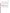Reference samples will be an aliquot of the PT or RW samples. Because the reference method is mass specific for different congeners, the PT samples for the three different congeners at each spiking concentration will be combined into a volumetric flask and brought up to a known volume with DI water. Then the calculated dilution factor will correct the reference method result to the true PT sample concentration. The RW samples will be sent for reference analysis without dilution. The results of each sample analysis by the test kits will be compared to the reference method results of the same sample. Table 5 presents a solution preparation scheme for the PT samples and Table 6 presents the test samples to be analyzed during this verification test. It assumes the stock solutions are diluted to prepare spiking solutions of the different congeners at 250 ppb.

| <b>Target Conc.</b><br>(ppb) | <b>Spiking Solution Conc.</b><br>(ppb) | <b>Volume Spiking Solution</b><br>mL | <b>Final Volume</b><br>$(\mathbf{mL})$ |
|------------------------------|----------------------------------------|--------------------------------------|----------------------------------------|
| 7.0                          | 250                                    | 3.5                                  | 125                                    |
| 4.0                          | 250                                    | 2.0                                  | 125                                    |
| 2.0                          | 250                                    |                                      | 125                                    |
| 1.5                          | 250                                    | 0.75                                 | 125                                    |
| 1.0                          | 250                                    | 0.5                                  | 125                                    |
| 0.5                          | 250                                    | 0.25                                 | 125                                    |
| 0.1                          | 250                                    | 0.05                                 | 125                                    |
| 0.0                          | 250                                    |                                      | 125                                    |

<span id="page-27-0"></span>

|  | <b>Table 5. Preparation of PT Samples</b> |  |  |
|--|-------------------------------------------|--|--|
|--|-------------------------------------------|--|--|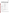| <b>Type of Sample</b>                                                           | Microcystin<br><b>Variant</b>                                                                                           | Microcystin<br><b>Concentration</b><br>(ppb)                 | <b>Replicates</b> | <b>Total Number</b><br>of Samples per<br><b>Test Kit</b> |
|---------------------------------------------------------------------------------|-------------------------------------------------------------------------------------------------------------------------|--------------------------------------------------------------|-------------------|----------------------------------------------------------|
| QC-Laboratory Reagent<br>Blank (RB)                                             | none                                                                                                                    | $\boldsymbol{0}$                                             | 3                 | 10% of total test<br>samples, 2                          |
|                                                                                 | LR                                                                                                                      | 0.1, 0.5, 1.0, 2.0, 4.0<br>ppb                               | $\overline{3}$    | 15                                                       |
|                                                                                 | LA                                                                                                                      | 0.5, 1.0, 2.0, 4.0, 7.0<br>ppb                               | $\mathfrak{Z}$    | 15                                                       |
| Performance Test (PT)                                                           | <b>RR</b>                                                                                                               | 0.5, 1.0, 2.0, 4.0, 7.0<br>ppb                               | $\mathfrak{Z}$    | 15                                                       |
| Samples - DI Water                                                              | LR                                                                                                                      | 5 times the vendor<br>stated MDL                             | $\overline{7}$    | $\tau$                                                   |
|                                                                                 | LA                                                                                                                      | 5 times the vendor<br>stated MDL                             | $\overline{7}$    | $\boldsymbol{7}$                                         |
|                                                                                 | RR                                                                                                                      | 5 times the vendor<br>stated MDL                             | $\overline{7}$    | $\tau$                                                   |
| Recreational Water (RW)<br>Samples-Lysed and<br>Filtered                        | Unknown                                                                                                                 | 3 samples $>20$ ppb, 3<br>samples $>10$ ppb, 3<br>samples ND | 3                 | 27                                                       |
| <b>Additional RW Samples</b><br>for test kits with specific<br>lysing procedure | Unknown                                                                                                                 | 3 samples at<br>unknown<br>concentrations                    | 3                 | 9                                                        |
| RW Matrix Interference                                                          | <b>LR</b>                                                                                                               | 4 ppb or 2 ppb*                                              | $\mathfrak{Z}$    | 6                                                        |
| Samples: ND RW<br>sample and 10 serial                                          | LA                                                                                                                      | 4 ppb or 2 ppb*                                              | 3                 | 6                                                        |
| dilution                                                                        | <b>RR</b>                                                                                                               | 4 ppb or 2 ppb*                                              | $\overline{3}$    | 6                                                        |
| Chloraphyll-a Matrix                                                            | LR                                                                                                                      | 4 ppb or 2 ppb*                                              | 3                 | 6                                                        |
| Interference Samples:<br>Chlorpphyll- $a$ sample and<br>10 serial dilution      | LA                                                                                                                      | 4 ppb or 2 ppb*                                              | 3                 | 6                                                        |
|                                                                                 | <b>RR</b>                                                                                                               | 4 ppb or 2 ppb*                                              | $\overline{3}$    | 6                                                        |
| Inter-kit lot<br>reproducibility                                                | A second set of vendor provided calibration standards from a different lot<br>analyzed following the vendor's procedure |                                                              |                   |                                                          |

#### <span id="page-28-0"></span>**Table 6. Summary of Test Samples**

\*concentration that is within the calibration range of the test kit

#### **B1.2 Statistical Analysis**

The microcystin test kits being verified report total microcystin and are also calibrated against microcystin-LR. Because of this, the reference method data will need to be converted to microcystin-LR equivalents to compare the test kit results to the reference method results for all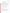PT samples. Using cross reactivity data provided by each vendor (specific to each test kit), the microcystin-LR equivalents will be calculated as follows:

$$
C_{LR\,equiv} = C_{ref\,conc} \times CR
$$
\n<sup>(1)</sup>

where *C<sub>ref conc* is the reference method result of the microcystin variant and *CR* is the mass-based</sub> cross reactivity of the variant in equivalents of microcystin-LR.6

For the RW samples, each variant identified (through analysis by the reference method) will be converted to LR-equivalents, and added together to calculate the total microcystin. The total microcystin-LR equivalents from the RW reference analyses will be compared to the total microcystin results from the test kits as described in the following sections. Because not all possible variants are monitored by the reference method, there could be a discrepancy between the test kit results and the total microcystin determined by the reference method.

#### *B1.2.1 Accuracy*

Accuracy of the test kits being verified will be assessed relative to the results obtained from the reference analyses. The results for each set of analyses will be expressed in terms of a percent difference (*%D*) as calculated from the following equation:

$$
\%D = \frac{C_T - C_R}{C_R} \times 100\tag{2}
$$

where  $C_T$  is the results from the test kits being verified and  $C_R$  is the concentration as determined by the reference method.

#### *B1.2.2 Linearity*

Linearity will be determined by linear regression with the toxin concentration measured by the reference method as the independent variable, and the test kit result being verified as the dependent variable. Linearity will be expressed in terms of the slope, intercept, and the coefficient of determination  $(r^2)$ . In addition, plots of the observed and predicated concentration values will be constructed to depict the linearity for each variant of microcystin being tested.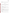#### *B1.2.3 Precision*

The standard deviation (*S*) of the results for the replicate samples will be calculated and used as a measure of test kit precision at each concentration. *S* will be calculated from the following equation:

$$
S = \left[ \frac{1}{n-1} \sum_{k=1}^{n} (C_k - \overline{C})^2 \right]^{1/2}
$$
 (3)

where *n* is the number of replicate samples,  $C_k$  is the concentration measure for the k<sup>th</sup> sample, and  $\overline{C}$  is the average concentration of the replicate samples. The kit precision at each concentration will be reported in terms of the relative standard deviation (*RSD*) presented below as equation 4.

$$
RSD = \left| \frac{S}{\overline{C}} \right| \times 100
$$
 (4)

#### *B.1.2.4 Method Detection Limit*

Method detection limit (*MDL*) will be determined by seven replicate analyses of a fortified sample with the toxin concentration of five times the vendor's estimated detection limit. The MDL will be calculated from the following equation:

$$
MDL = t \times S \tag{5}
$$

where *t* is the Student's value for a 95% confidence level, and *S* is the standard deviation of the replicate samples.

#### *B.1.2.5 Inter-Kit Lot Reproducibility*

Inter-kit lot reproducibility will be assessed by performing a linear regression of sample results generated by kits using calibration solutions from two different lots. The slope, intercept, and  $r^2$  will be used to evaluate the degree of inter-lot reproducibility. A paired t-test will also conducted to evaluate whether the two sets of sample results were significantly different at a 95% confidence level.

#### *B.1.2.6 Matrix Effects*

The effect of a natural matrix and of chlorophyll-*a* in DI water will be evaluated by comparing the response of the test kits of the samples with matrix to the 4 or 2 ppb microcystin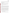PT sample in DI water without matrix. The percent difference between the test kit results from 4 or 2 ppb microcystin in DI water and the test kit result of 4 or 2 ppb in each RW and chlorophyll*a* matrix interference sample will be calculated. If there is no matrix interference, the percent difference should be negligible in all cases.

#### *B1.2.7 Operational Factors*

Operational factors such as maintenance needs, calibration frequency, data output, consumables used, ease of use, repair requirements, waste production, and sample throughput will be documented based on operator and Verification Test Coordinator observations. An example of an ease of use questionnaire is provided in Appendix A.

#### **B1.3 Reporting**

Separate verification reports will be prepared for each vendor that is participating in the verification testing. The statistical comparisons described above will be conducted separately for each of the test kits being tested, and information on the operational factors will also be compiled and reported separately for each test kit. The verification report will present the test procedures, test data as statistical evaluation of those data, and discuss any deviations from the approved test/QA plan.

Operational aspects of the monitoring systems will be recorded by the testing staff at the time of observation during the verification test, and summarized in the verification report. The verification report will briefly describe the ETV program, the AMS Center, and the procedures used in verification testing. The results of the verification test regarding microcystin test kit performance will be stated quantitatively. Each draft verification report will be subjected to review by the vendor, EPA, and peer reviewers. The resulting review comments will be addressed in a subsequent revision of the report, and the peer review comments and responses will be tabulated to document the peer review process, and submitted to EPA. The reporting and review process will be conducted according to the requirements of the AMS Center QMP.<sup>1</sup>

#### <span id="page-31-0"></span>**B2 SAMPLING METHOD REQUIREMENTS**

As described above, multiple recreational water samples were collected for this verification test. The samples were collected according to the sample collection and handling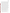instructions included in the NDEQ standard operating procedure for microcystin analysis (SOP#  $SWS-2320.1A$ <sup>7</sup>. In brief, recreational water samples were collected in either plastic or glass amber collection containers. The sampling staff collected the samples throughout the summer of 2009 from locations that are representative of where human exposure would be expected (e.g., a swim area in knee deep water). In addition, when algae were present, the sampling staff collected the "worst case" sample by agitating the scum layer and collecting the sample six to eight inches below the surface. A small amount of head space was left to allow for proper shaking and mixing prior to analysis. Samples were frozen immediately after collection and stored at < -10 °C until testing takes place. Samples may be kept at 4 °C +/- 3 °C for up to one week after collection or frozen (at < -10  $^{\circ}$ C) if held for longer periods (e.g., more than one week)<sup>7</sup>. Temperatures for the refrigerator and freezer will be logged on a monthly basis. If found to be outside of the specified range above, the samples will be transferred to an acceptable refrigerator or freezer and the deviation will be noted in the LRB, in a deviation report, and in the final verification reports. In cases where there is not enough sample volume for testing and reference analysis, RW samples may be combined. They will not be diluted with DI water.

The same SOP for microcystin analysis also contains a procedure for lysing the cyanobacteria to release the microcystin into the water sample for analysis<sup>7</sup>. A procedure will be necessary to perform on all of the RW samples. This procedure goes through three iterations of completely freezing and thawing in order to breakdown the cell walls of the bacteria<sup>7</sup>. Then the samples will be filtered. Once the RW samples are lysed and filtered, the sample will be transferred, handled, and stored in glass containers to minimize any potential absorption of microcystin by plastic. Then more than 100 milliliters of the samples will be aliquoted into individual glass vials and transported to the reference laboratory on ice.

If the test kits require approaches other than freezing and thawing to lysing the cyanobacteria, that approach will be used for the applicable test kits. For the toxicity test kit, three additional RW samples will be included in testing that will not undergo freeze-thaw before being analyzed by the kit. For these three samples, the reference will be split before lysing.

#### <span id="page-32-0"></span>**B3 SAMPLE HANDLING AND CUSTODY REQUIREMENTS**

Sample custody will be documented throughout collection and analysis of the test samples following the Battelle SOP for Chain of Custody $8$ . A chain-of-custody (COC) form will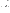include details about the sample such as the time, date, location, and person collecting the sample. The COC form will track sample release from the sampling location to the analysis laboratory. Each COC form will be signed by the person relinquishing samples once that person has verified that the COC form is accurate. Upon arrival at the analysis laboratory, COC forms will be signed by the person receiving the samples (if different from the sample collector) once that person has verified that all samples identified on the COC forms are present. Copies of all COC forms will be delivered to the Verification Test Coordinator and maintained with the test records. When samples are delivered to a reference laboratory, a second COC form will be completed as described above.<sup>8</sup>

#### <span id="page-33-0"></span>**B4 LABORATORY REFERENCE METHOD**

Technology verification will involve comparison of the results from each test kit being verified to the results obtained from an appropriate reference method. The reference method chosen for this verification test is proven liquid chromatography tandem mass spectrometry (LC-MS/MS) analysis method for the determination of algal toxins<sup>9</sup>. This method has been slightly modified from the publication but follows the scientific approach of utilizing a reversed-phase separation column, electrospray ionization, and multiple reaction monitoring (MRM) in positive ion mode to detect the specific mass-to-charge (m/z) precursor and product ions associated with the variants of microcystin. By monitoring specific m/z values of precursor and product ions, the method is specific to the different variants of microcystin. It utilizes an internal standard, Nodularin, to minimize any matrix effects from the water samples and a surrogate recovery standard, Enkephalin to normalize the extraction efficiency of the extraction method. Table 4 shows the Chemical Abstract Service (CAS) number, MRM reaction monitored by the reference laboratory on each microcystin of interest for this verification test. Because to the IDLs of the reference method are higher than some of the PT samples, samples sent for analysis will go through solid-phase extraction (SPE) and concentration steps<sup>10</sup>. The reference laboratory will receive all samples blindly.

The reference laboratory, University of Nebraska Water Center in Lincoln, Nebraska, will perform the analysis following the QA/QC procedures described in Section B5. In addition, prior to testing, Battelle's QAO will contact the reference laboratory and request submission of that laboratory's QA plan and associated records. In addition, Battelle will visit the reference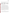laboratory and audit the QA document associated with the samples analyzed during this ETV test.

| <b>Name</b>                     | <b>CAS</b> number | <b>Positive Ion MRM Reaction</b> |
|---------------------------------|-------------------|----------------------------------|
| Microcystin-LR                  | 101043-37-2       | 995.35>135.1                     |
| Microcystin-LA                  | 96180-79-9        | 910.2 > 135.1                    |
| Microcystin-RR                  | 111755-37-4       | 520.0 > 135.0                    |
| Nodularin (Internal Standard)   | 118399-22-7       | 825.1 > 135.1                    |
| Enkephalin (Surrogate Recovery) | 58822-25-6        | 556.1 > 278.0                    |
| Standard)                       |                   |                                  |

<span id="page-34-1"></span>**Table 7. Microcystin Reference Method Information<sup>6</sup>**

#### <span id="page-34-0"></span>**B5 QUALITY CONTROL REQUIREMENTS**

Quality control steps will follow the vendor specified frequency and levels for the microcystin test kits. All of the test kits require a positive and negative control and the quantitative test kits also include multiple concentrations of calibration standards.

The reference method requires the analysis of a method blanks (MB), Laboratory Fortified Matrix (LFM) samples and duplicate samples. One MB, LFM, and duplicate sample analysis will be performed during reference analysis for every 20 samples analyzed. The MB should be rejected if the microcystin concentration is above the reporting limit. The LFM is acceptable if within 30% of the expected concentration. The relative percent difference (*RPD*) of the duplicate measurements will be required to be less than 30%. *RPD* will be calculated as in Equation 6 below, where *d* will be the absolute difference between the duplicate samples and  $\overline{c}$  will be the average of the duplicate sample results. A continuing calibration verification (CCV) standard will be analyzed every 10 samples to ensure that the calibration is still valid. It will be a mid-level standard and must be within 20% of the expected value. The reporting limits for the three congeners used in this verification test must be  $\leq 0.1$  ppb. See Table 3 for a summary of these requirements.

$$
RPD = \frac{|d|}{\overline{C}} \times 100\tag{6}
$$

Sample sets producing results not meeting these requirements may be reanalyzed by the reference method. If the results are still outside the required tolerance, the reference instrument will be recalibrated (if applicable) and/or the reference samples reanalyzed. If the outlying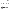results persist, the repeat of the appropriate parts of the verification test or use of a different reference instrument may be considered.

#### <span id="page-35-0"></span>**B6 INSTRUMENT/EQUIPMENT TESTING, INSPECTION, AND MAINTENANCE**

The instruments used for the reference analyses will be tested and inspected as per the instrument manuals, the standard operating procedures of the analysis laboratory, or the methods being used to make each measurement. Operation of the test kits during the verification test will be performed by Battelle technical staff as directed by the vendor.

#### <span id="page-35-1"></span>**B7 CALIBRATION VERIFICATION**

The instruments used for the reference analyses will be calibrated per the instrument manual, the methods being used to make each measurement or the standard operating procedures of the analysis laboratory. The vendor will provide the Battelle verification staff with the necessary training/information to properly maintain each test kit. All calibrations performed will be documented by the verification staff in the project LRB or data collection forms.

Calibration of the test kit will be done as often as suggested by the vendor. Vendors will be required to supply the necessary calibration solutions and devices specific to the test kits being verified. Balances and pipettes used during test solution preparation will be maintained and calibrated per the manufacturer's procedures which will be reviewed by the Battelle QAO prior to the verification test.

#### <span id="page-35-2"></span>**B8 INSPECTION/ACCEPTANCE OF SUPPLIES AND CONSUMABLES**

All materials, supplies, and consumables will be ordered by the Verification Test Coordinator or designee. Where possible, Battelle will rely on sources of materials and consumables that have been used previously as part of ETV verification testing without problems. Battelle will also rely on previous experience or recommendations from NDEQ technical staff and the vendors to guide selection of manufacturers and materials. The manufacturer's criteria for acceptance/purity will be required to be met. Microcystin certified standards are not available; therefore, the source used for this verification test will be purchased and verified by the reference method before use.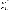Microcystin Test Kits Test/QA Plan Page 36 of 46 Version 1.0 Date: 7/6/10

#### <span id="page-36-0"></span>**B9 NON-DIRECT MEASUREMENTS**

Data published previously in the scientific literature will not be used during this verification test.

#### <span id="page-36-1"></span>**B10 DATA MANAGEMENT**

Records received by or generated by any of the verification staff during the verification test will be reviewed by the Verification Test Coordinator or designee. Test data will be reviewed at intervals sufficient to ensure that test data are meeting the DQOs. The Verification Test Coordinator or delegate will review 100% of the first data batch within one week of delivery. Given the short duration of this test, all of the test samples and subsequent aliquots for reference method analysis will be prepared the day before testing begins. The reference samples will be shipped to the reference laboratory for analysis. Therefore, the first batch of reference method data is defined as all of the reference method data. However, the first batch of testing data is defined as the testing data collected on the first day of testing. The Verification Test Coordinator's review will verify that:

- All data are reported as required in the test/QA plan.
- Calibration and QC results are reported and are acceptable.
- Data are reasonable (within expected ranges).
- Technologies appear to be generating data as expected.

Records will be reviewed and verified prior to use to calculate, evaluate, or report verification results. These checks will include:

- QC samples and calibration standards were analyzed according to the test/QA plan.
- Calibration and QC sample results are reported and the acceptance criteria were met.
- Corrective action for exceedances was implemented.
- 100% hand-entered and/or manually calculated data were checked for accuracy.
- Calculations performed by software are verified at a frequency sufficient to ensure that the formulas are correct, appropriate, and consistent.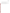- For each cut and paste function, the first and last data value was verified vs. the source data.
- Data are reported in the units specified in the test/QA plan.

Records reviews will be documented as the dated initials of the reviewer. Any issues identified during the data review will be addressed with the testing staff in real time (i.e.,  $\leq$  5 few days of discovery) so that corrective action can be implemented and testing stopped, if needed, to ensure that data of sufficient quality are collected to meet the DQOs.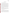## **SECTION C ASSESSMENT AND OVERSIGHT**

#### <span id="page-38-1"></span><span id="page-38-0"></span>**C1 ASSESSMENTS AND RESPONSE ACTIONS**

Every effort will be made in this verification test to anticipate and resolve potential problems before the quality of performance is compromised. One of the major objectives of the test/QA plan is to establish mechanisms necessary to ensure this. Internal quality control measures described in this test/QA plan, which is peer reviewed by external experts, implemented by the technical staff and monitored by the Verification Test Coordinator, will give information on data quality on a day-to-day basis. The responsibility for interpreting the results of these checks and resolving any potential problems resides with the Verification Test Coordinator. Technical staff have the responsibility to identify problems that could affect data quality or the ability to use the data. Any problems that are identified will be reported to the Verification Test Coordinator, who will work with the Battelle QAO to resolve any issues. Action will be taken to control the problem, identify a solution to the problem, and minimize losses and correct data, where possible. Battelle will be responsible for ensuring that the following audits are conducted as part of this verification test. See Table 2 for the proposed verification test schedule of audits.

Any changes to the approved test/QA plan must be reported within 24 hours and documented in a formal deviation submitted to the Battelle AMS Center Manager, EPA PO, and EPA QM. If approval by EPA or its designee is not received within 24 hours of notification, testing will be halted until a suitable resolution has been achieved.

#### **C1.1 Performance Evaluation Audits**

A PEA will be conducted to assess the quality of the reference measurements made in this verification test. Before testing begins, blind samples prepared from independent standards will be submitted to the WSL for analysis. As NIST standards are not available, Microcystin-LR and -RR will be obtained from the Canadian NRC (with draft certificates of analyses) and microcystin-LR, -RR, and –LA will be obtained from Abraxis. A dilution of these standards will be sent for reference analysis. The NRC standards will be diluted together in a volumetric flask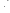into one PEA sample, and the Abraxis standards will also be diluted together into a second PEA sample. The results of the PEA samples must be within the acceptable tolerance of 30%. If the results do not meet this requirement, they will be repeated. If the outlying results persist, the Verification Test Coordinator, or designee, and the reference laboratory representative will discuss corrective actions, and a repeat of the PEA will have to be performed. Testing will not take place unless the PEA samples are within the acceptable range. The results from the PEA will be sent to the EPA PO and EPA QM within 10 days of receipt from the reference laboratory. The PEA report will include the raw data, draft certificate from the Canadian NRC, calculations of the comparison to the expected concentration and a discussion of corrective action, if applicable.

#### **C1.2 Technical Systems Audits**

Battelle QAO or delegate will perform a technical systems audit (TSA) at least once during this verification test. The purpose of this audit is to ensure that the verification test is being performed in accordance with the AMS Center  $QMP<sup>1</sup>$  and this test/QA plan. The primary focus of the audit will be operation of the technologies being verified. The audit will compare actual test procedures to those specified or referenced in the test/QA Plan, and will review data acquisition and handling procedures. The audit of the technologies will include verification that:

- The technologies are calibrated and operated as defined in the test/QA plan.
- Any test/QA plan specifications and QC are implemented.
- The data generated by the technologies are 'reasonable' based on the vendor specifications.
- Documentation and sample labeling are sufficient to ensure data traceability.

The audit of the reference method laboratory may include:

- A review of the testing facility and equipment (instrument/equipment calibration, maintenance, and operation.
- Sample handling procedures.
- Comparison of test procedures to the reference method specifications.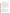- Verification that calibration and QC procedures conform to the method and that the results meet the acceptance criteria.
- Review of documentation procedures.

Based on available time, the focus of the reference method audit will be on ensuring that the method is fully implemented and that instrument calibration and QC results are acceptable. The auditor will confer with the reference laboratory staff and Battelle technical staff during the audit, as needed. The TSA will be guided by a project-specific checklist based on the test/QA plan and reference method. A TSA debriefing will be conducted with the testing staff at the conclusion of the audit. The EPA PO and EPA QM will be invited to the debriefing.

A TSA report will be prepared as a memo to the Verification Test Coordinator within 10 business days after completion of the audit; the completed checklist will be attached. The Battelle AMS Center Manager, EPA PO, and EPA QM will be copied on the memo. The Verification Test Coordinator will respond to the audit within 10 business days. The Battelle QAO or designate will verify that all audit Findings and Observations have been addressed and that corrective actions are appropriately implemented. A copy of the complete TSA report with corrective actions will be provided to the EPA PO and EPA QM within 10 business days after receipt of the audit memo. At EPA's discretion, EPA QA staff may also conduct an independent on-site TSA during the verification test. The TSA findings will be communicated to technical staff at the time of the audit and documented in a TSA report.

#### **C1.3 Data Quality Audits**

The Battelle QAO or designee will perform a data quality audit (DQA) on at least 10% of the sample results acquired in the verification test and 100% of the calibration and QC data vs. the test/QA plan requirements. The exact percentage of data results audited is less critical than the overall reasonableness of the data. If data quality errors are detected the auditor will track the data to identify upstream causes and downstream impacts. A checklist based on the test/QA plan will guide the audit. The primary focus of the audit will be the reference method data although the testing data will also be audited.

An initial data quality audit will be conducted on the first batch of test data within 3 business days of when data were posted on the project SharePoint site to identify errors early in the data reduction process. Given the short duration of this test, all of the test samples and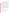subsequent aliquots for reference method analysis will be prepared the day before testing begins. The reference samples will be shipped to the reference laboratory for analysis. Therefore, the first batch of reference method data is defined as all of the reference method data. However, the first batch of testing data is defined as the testing data collected on the first day of testing. The remaining data will be audited once all data for the technologies have been posted on the project SharePoint site and once all statistical analyses are complete. The Battelle QAO, or designee, will trace the data from initial acquisition, through reduction and statistical comparisons, to final reporting. The audit will reproduce the reported results based the raw data and any calculations and data reduction procedures performed on the data to ensure that the reported results are traceable. The review of testing data will be limited to ensuring that calibrations were performed as defined in the test/QA Plan and will review 10% of the data calculations and transcriptions to identify errors and verify that the reported data are traceable to the raw data.

A DQA audit report will be prepared as a memo to the Verification Test Coordinator within 15 business days after the data are posted; the completed checklist will be attached. The Battelle AMS Center Manager, EPA PO, and EPA QM will be copied on the memo. The Verification Test Coordinator will respond to the audit within 10 business days. The Battelle QAO or designate will verify that all audit Findings and Observations have been addressed and that corrective actions are appropriately implemented. A copy of the complete DQA report with corrective actions will be provided to the EPA PO and EPA QM within 10 business days after receipt of the audit memo. At EPA's discretion, EPA QA staff may also conduct an independent audit of data quality.

#### **C1.4 QA/QC Reporting**

Each assessment and audit will be documented in accordance with Section 3.3.4 of the AMS Center  $QMP<sup>1</sup>$ . The results of the TSA and DQA will be submitted to EPA. Assessment reports will include the following:

- Identification of Findings and Observations.
- Recommendations for resolving problems.
- Response to adverse findings or potential problems.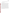- Confirmation that solutions have been implemented and are effective.
- Citation of any noteworthy practices that may be of use to others.

#### <span id="page-42-0"></span>**C2 REPORTS TO MANAGEMENT**

The Battelle QAO, during the course of any assessment or audit, will identify to the technical staff performing experimental activities any immediate corrective action that should be taken. If serious quality problems exist, the Battelle QAO is authorized to notify the Battelle AMS Center Manager who will issue the stop work. Once the assessment report has been prepared, the Verification Test Coordinator will ensure that a response is provided for each adverse finding or potential problem and will implement any necessary follow-up corrective action. The Battelle QAO will ensure that follow-up corrective action has been taken.

In addition to this test/QA plan, a final report and a verification statement for each vendor will be prepared and reviewed, with test kit data presented separately for each technology. The final report is a comprehensive document describing the verification test. The verification statement is a two-to-three page summary of the technology, the test procedures, and the test results. Each draft report and verification statement will be submitted to the respective vendor for review. They are then reviewed by EPA QM and the EPA PO. Upon approval by EPA, each verification statement will be signed by a senior manager of Battelle and by an EPA laboratory director. Original signed verification statements will be provided to the respective vendors for use in marketing their technology. Upon final review and approval, the documents will then be posted on the ETV website (www.epa.gov/etv).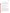## **SECTION D DATA VALIDATION AND USABILITY**

#### <span id="page-43-1"></span><span id="page-43-0"></span>**D1 DATA REVIEW, VALIDATION, AND VERIFICATION REQUIREMENTS**

The key data review requirements for the verification test are the collection of QC samples as outlined in the test/QA plan, a comparison of data sheet comments against final data to flag any suspect data, and a review of final data to resolve any questions about apparent outliers. The QA audits, as described within this document are designed to assure the quality of this data.

#### <span id="page-43-2"></span>**D2 VALIDATION AND VERIFICATION METHODS**

Section C of this test/QA plan provides a description of the validation safeguards employed for this verification test. Data validation and verification efforts include the analysis of QC samples as required in this document, and the performance of the TSA and PEA as described in Section C.

#### <span id="page-43-3"></span>**D3 RECONCILIATION WITH USER REQUIREMENTS**

This test/QA plan and the resulting ETV verification report(s) will be subjected to review by the microcystin test kit vendors, EPA, and expert peer reviewers. These reviews will assure that this test/QA plan and the resulting verification report(s) meet the needs of potential users of the microcystin test kits. Performance data for the microcystin test kits, collected under conditions where the quality control requirements for the duplicate and PEA samples were met, will be presented in the final verification report without any further comment. Performance data and reference measurements that do not meet these criteria will be noted and a discussion of the possible impact of the failed requirements on the performance evaluation will be presented in the final verification report. The final verification report(s) will be submitted to EPA in MS Word and Adobe portable document format (PDF) and subsequently posted on the ETV website (www.epa.gov/etv).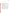Microcystin Test Kits Test/QA Plan Page 44 of 46 Version 1.0 Date: 7/6/10

## **SECTION E**

## **REFERENCES**

### <span id="page-44-1"></span><span id="page-44-0"></span>**E1 REFERENCES**

- 1. *Quality Management Plan for the ETV Advanced Monitoring Systems Center, Version 7.* U.S. Environmental Technology Verification Program, Battelle, November 2008.
- 2. *Environmental Technology Verification Program Quality Management Plan.* January, 2008(EPA/600/R-08/009).
- 3. Butler, N., et al., *Microcystins: A brief overview of their toxicity and effects, with special reference to fish, wildlife, and livestock*. January, 2009, Office of Environmental Health Hazard Assessment.
- 4. *Guidelines for Safe Recreational Water Environments, Volume 1, Coastal and Fresh Waters*. 2003: World Health Organization.
- 5. *"Guidelines Establishing Test Procedures for the Analysis of Pollutants."*, USEPA, Editor. 2000, U.S. Code of Federal Regulations.
- 6. Loftin, K.A., et al., *Comparison of Two Cell Lysis Procedures for Recovery of Microcystins in Water Samples from Silver Lake in Dover, Delaware, with Microcystin Producing Cyanobacterial Accumulations*, in *USGS Open-File Report 2008 -1341*. 2008. p. 9.
- 7. *SOP# SWS-2320.1A: Microcystin Analysis Using the Abraxis ELISA (Enzyme-Linked Immuno-Sorbent Assay) Method.* Nebraska Department of Environmental Quality.
- 8. *SOP ENV-ADM-009, Standard Operating Procedure for Sample Chain-of-Custody*  Battelle, September 2007.
- 9. Hollrah, M., *Standard Operating Procedure (SOP) Determination of algaltoxin residues in water extracts by liquid chromatography (LC)- atmospheric pressure electrospray ionization tandem mass spectrometry (MS/MS)*. December, 2005, Water Sciences Laboratory, University of Nebraska.
- 10. Cong, L.H., B.; Chen, Q.; Lu, B.; Zhang, J.; Ren, Y., *Determination of trace amount of microcystins in water samples using liquid chromatography coupled with triple quadrupole mass spectrometry. Anal. Chim. Acta*, 2006. **569** (1-2): p. 157-168.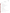## **APPENDIX A EASE OF USE QUESTIONNAIRE**

Technology Evaluated:

Operator: Date:

Kit-

- 1) Clarity of instruction manual:
- 2) Solutions/reagents easily identifiable?
- 3) Storage conditions of solutions/reagents readily marked/easily available?
- 4) Number of samples that can be processed per kit?
- 5) All containers/packaging easy to open?

Reagents-

- 1) Ease of reagent preparation:
- 2) Reagent storage requirements:
- 3) Shelf life of reagents as received in kit:
- 4) Shelf life of reagents once prepared for analysis:
- 5) Equipment/materials required for reagent prep (i.e., balances, pipettes, etc)? Anything specialized?

Equipment-

1) User-friendliness of software or electronic readout: